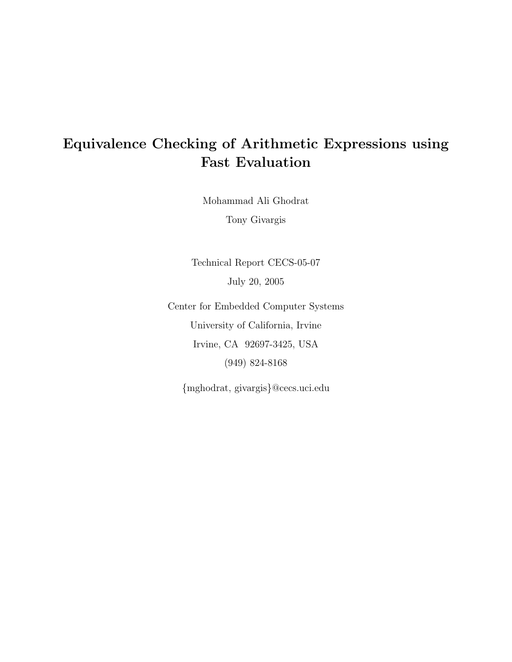# Equivalence Checking of Arithmetic Expressions using Fast Evaluation

Mohammad Ali Ghodrat

Tony Givargis

Technical Report CECS-05-07 July 20, 2005

Center for Embedded Computer Systems University of California, Irvine Irvine, CA 92697-3425, USA (949) 824-8168

{mghodrat, givargis}@cecs.uci.edu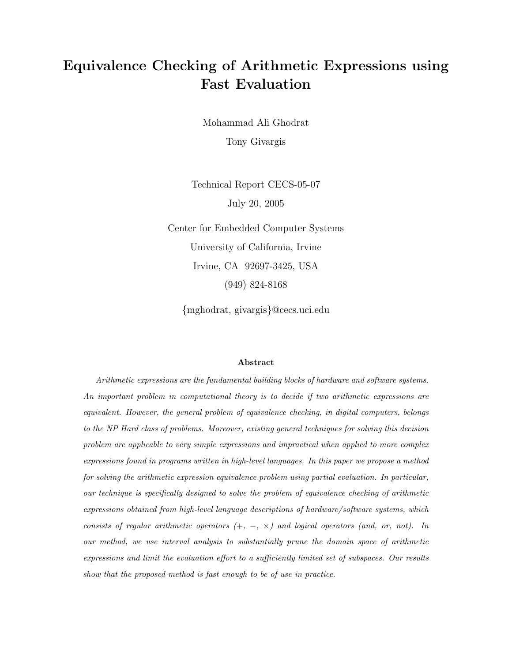# Equivalence Checking of Arithmetic Expressions using Fast Evaluation

Mohammad Ali Ghodrat Tony Givargis

Technical Report CECS-05-07 July 20, 2005

Center for Embedded Computer Systems University of California, Irvine Irvine, CA 92697-3425, USA (949) 824-8168

{mghodrat, givargis}@cecs.uci.edu

#### Abstract

Arithmetic expressions are the fundamental building blocks of hardware and software systems. An important problem in computational theory is to decide if two arithmetic expressions are equivalent. However, the general problem of equivalence checking, in digital computers, belongs to the NP Hard class of problems. Moreover, existing general techniques for solving this decision problem are applicable to very simple expressions and impractical when applied to more complex expressions found in programs written in high-level languages. In this paper we propose a method for solving the arithmetic expression equivalence problem using partial evaluation. In particular, our technique is specifically designed to solve the problem of equivalence checking of arithmetic expressions obtained from high-level language descriptions of hardware/software systems, which consists of regular arithmetic operators  $(+, -, \times)$  and logical operators (and, or, not). In our method, we use interval analysis to substantially prune the domain space of arithmetic expressions and limit the evaluation effort to a sufficiently limited set of subspaces. Our results show that the proposed method is fast enough to be of use in practice.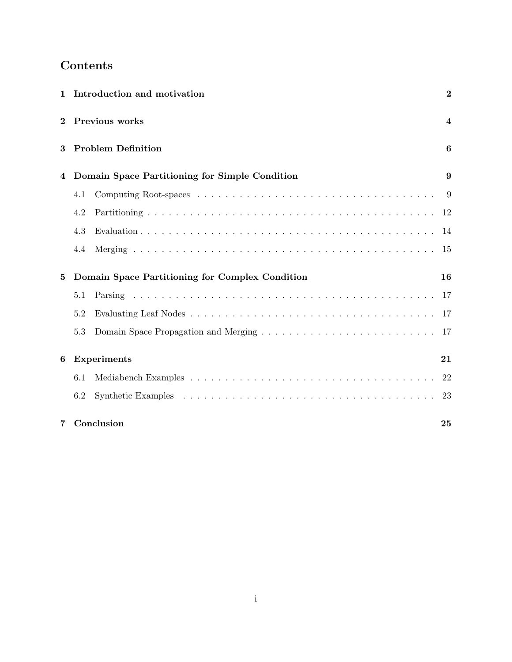# Contents

| $\mathbf{1}$ |                    | Introduction and motivation                     | $\overline{2}$          |  |
|--------------|--------------------|-------------------------------------------------|-------------------------|--|
| $\mathbf 2$  |                    | Previous works                                  | $\overline{\mathbf{4}}$ |  |
| 3            |                    | <b>Problem Definition</b>                       | 6                       |  |
| 4            |                    | Domain Space Partitioning for Simple Condition  | 9                       |  |
|              | 4.1                |                                                 | -9                      |  |
|              | 4.2                |                                                 | 12                      |  |
|              | 4.3                |                                                 |                         |  |
|              | 4.4                |                                                 | 15                      |  |
| 5            |                    | Domain Space Partitioning for Complex Condition | 16                      |  |
|              | 5.1                |                                                 | 17                      |  |
|              | 5.2                |                                                 |                         |  |
|              | 5.3                |                                                 |                         |  |
| 6            | <b>Experiments</b> |                                                 |                         |  |
|              | 6.1                |                                                 | 22                      |  |
|              | 6.2                |                                                 | 23                      |  |
| 7            |                    | Conclusion                                      | 25                      |  |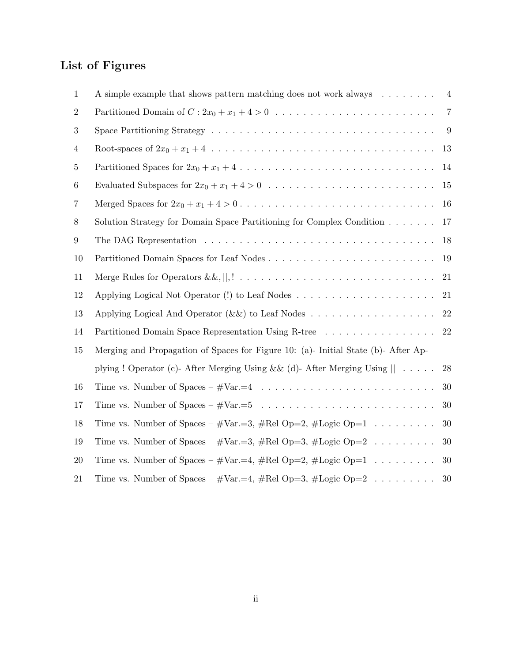# List of Figures

| 1               | A simple example that shows pattern matching does not work always $\dots \dots$                             | $\overline{4}$ |
|-----------------|-------------------------------------------------------------------------------------------------------------|----------------|
| $\overline{2}$  |                                                                                                             | $\overline{7}$ |
| 3               | Space Partitioning Strategy $\dots \dots \dots \dots \dots \dots \dots \dots \dots \dots \dots \dots \dots$ | 9              |
| $\overline{4}$  |                                                                                                             | 13             |
| $\overline{5}$  |                                                                                                             | 14             |
| $6\phantom{.}6$ |                                                                                                             | 15             |
| 7               |                                                                                                             | 16             |
| 8               | Solution Strategy for Domain Space Partitioning for Complex Condition                                       | 17             |
| 9               | The DAG Representation $\ldots \ldots \ldots \ldots \ldots \ldots \ldots \ldots \ldots \ldots \ldots$       | 18             |
| 10              |                                                                                                             | 19             |
| 11              |                                                                                                             | 21             |
| 12              |                                                                                                             | 21             |
| 13              |                                                                                                             | $22\,$         |
| 14              | Partitioned Domain Space Representation Using R-tree                                                        | 22             |
| 15              | Merging and Propagation of Spaces for Figure 10: (a)- Initial State (b)- After Ap-                          |                |
|                 | plying ! Operator (c)- After Merging Using && (d)- After Merging Using $   \dots$                           | 28             |
| 16              |                                                                                                             | 30             |
| 17              |                                                                                                             | 30             |
| 18              | Time vs. Number of Spaces – $\# \text{Var} = 3$ , $\# \text{Rel Op}=2$ , $\# \text{Logic Op}=1$             | 30             |
| 19              | Time vs. Number of Spaces – $\# \text{Var} = 3$ , $\# \text{Rel Op}=3$ , $\# \text{Logic Op}=2$             | 30             |
| 20              | Time vs. Number of Spaces – $\# \text{Var} = 4$ , $\# \text{Rel Op}=2$ , $\# \text{Logic Op}=1$             | 30             |
| 21              | Time vs. Number of Spaces – $\# \text{Var} = 4$ , $\# \text{Rel Op}=3$ , $\# \text{Logic Op}=2$             | 30             |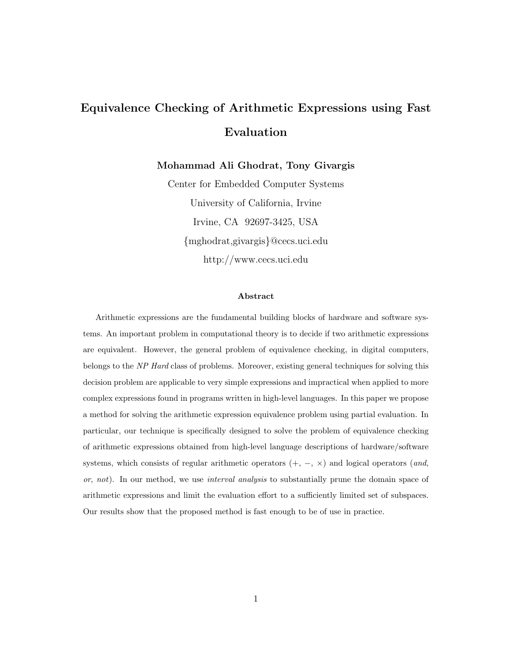# Equivalence Checking of Arithmetic Expressions using Fast Evaluation

Mohammad Ali Ghodrat, Tony Givargis

Center for Embedded Computer Systems University of California, Irvine Irvine, CA 92697-3425, USA {mghodrat,givargis}@cecs.uci.edu http://www.cecs.uci.edu

#### Abstract

Arithmetic expressions are the fundamental building blocks of hardware and software systems. An important problem in computational theory is to decide if two arithmetic expressions are equivalent. However, the general problem of equivalence checking, in digital computers, belongs to the NP Hard class of problems. Moreover, existing general techniques for solving this decision problem are applicable to very simple expressions and impractical when applied to more complex expressions found in programs written in high-level languages. In this paper we propose a method for solving the arithmetic expression equivalence problem using partial evaluation. In particular, our technique is specifically designed to solve the problem of equivalence checking of arithmetic expressions obtained from high-level language descriptions of hardware/software systems, which consists of regular arithmetic operators  $(+, -, \times)$  and logical operators (and, or, not). In our method, we use *interval analysis* to substantially prune the domain space of arithmetic expressions and limit the evaluation effort to a sufficiently limited set of subspaces. Our results show that the proposed method is fast enough to be of use in practice.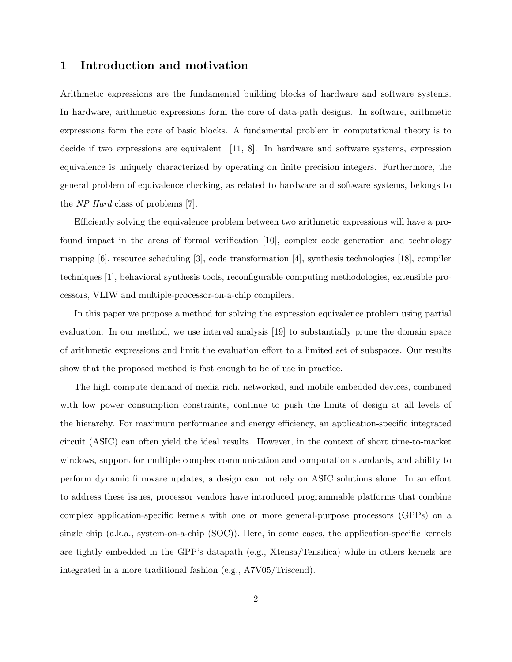### 1 Introduction and motivation

Arithmetic expressions are the fundamental building blocks of hardware and software systems. In hardware, arithmetic expressions form the core of data-path designs. In software, arithmetic expressions form the core of basic blocks. A fundamental problem in computational theory is to decide if two expressions are equivalent [11, 8]. In hardware and software systems, expression equivalence is uniquely characterized by operating on finite precision integers. Furthermore, the general problem of equivalence checking, as related to hardware and software systems, belongs to the NP Hard class of problems [7].

Efficiently solving the equivalence problem between two arithmetic expressions will have a profound impact in the areas of formal verification [10], complex code generation and technology mapping [6], resource scheduling [3], code transformation [4], synthesis technologies [18], compiler techniques [1], behavioral synthesis tools, reconfigurable computing methodologies, extensible processors, VLIW and multiple-processor-on-a-chip compilers.

In this paper we propose a method for solving the expression equivalence problem using partial evaluation. In our method, we use interval analysis [19] to substantially prune the domain space of arithmetic expressions and limit the evaluation effort to a limited set of subspaces. Our results show that the proposed method is fast enough to be of use in practice.

The high compute demand of media rich, networked, and mobile embedded devices, combined with low power consumption constraints, continue to push the limits of design at all levels of the hierarchy. For maximum performance and energy efficiency, an application-specific integrated circuit (ASIC) can often yield the ideal results. However, in the context of short time-to-market windows, support for multiple complex communication and computation standards, and ability to perform dynamic firmware updates, a design can not rely on ASIC solutions alone. In an effort to address these issues, processor vendors have introduced programmable platforms that combine complex application-specific kernels with one or more general-purpose processors (GPPs) on a single chip (a.k.a., system-on-a-chip (SOC)). Here, in some cases, the application-specific kernels are tightly embedded in the GPP's datapath (e.g., Xtensa/Tensilica) while in others kernels are integrated in a more traditional fashion (e.g., A7V05/Triscend).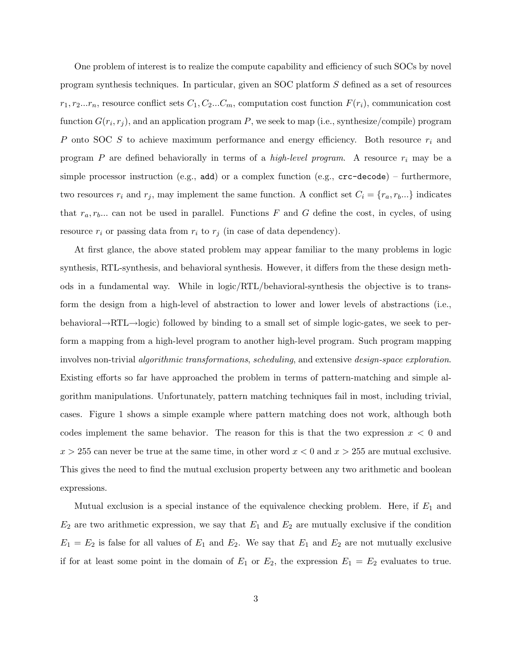One problem of interest is to realize the compute capability and efficiency of such SOCs by novel program synthesis techniques. In particular, given an SOC platform S defined as a set of resources  $r_1, r_2...r_n$ , resource conflict sets  $C_1, C_2...C_m$ , computation cost function  $F(r_i)$ , communication cost function  $G(r_i, r_j)$ , and an application program P, we seek to map (i.e., synthesize/compile) program P onto SOC  $S$  to achieve maximum performance and energy efficiency. Both resource  $r_i$  and program  $P$  are defined behaviorally in terms of a *high-level program*. A resource  $r_i$  may be a simple processor instruction (e.g.,  $add$ ) or a complex function (e.g.,  $crc-decode)$  – furthermore, two resources  $r_i$  and  $r_j$ , may implement the same function. A conflict set  $C_i = \{r_a, r_b...\}$  indicates that  $r_a, r_b...$  can not be used in parallel. Functions F and G define the cost, in cycles, of using resource  $r_i$  or passing data from  $r_i$  to  $r_j$  (in case of data dependency).

At first glance, the above stated problem may appear familiar to the many problems in logic synthesis, RTL-synthesis, and behavioral synthesis. However, it differs from the these design methods in a fundamental way. While in logic/RTL/behavioral-synthesis the objective is to transform the design from a high-level of abstraction to lower and lower levels of abstractions (i.e., behavioral→RTL→logic) followed by binding to a small set of simple logic-gates, we seek to perform a mapping from a high-level program to another high-level program. Such program mapping involves non-trivial algorithmic transformations, scheduling, and extensive design-space exploration. Existing efforts so far have approached the problem in terms of pattern-matching and simple algorithm manipulations. Unfortunately, pattern matching techniques fail in most, including trivial, cases. Figure 1 shows a simple example where pattern matching does not work, although both codes implement the same behavior. The reason for this is that the two expression  $x < 0$  and  $x > 255$  can never be true at the same time, in other word  $x < 0$  and  $x > 255$  are mutual exclusive. This gives the need to find the mutual exclusion property between any two arithmetic and boolean expressions.

Mutual exclusion is a special instance of the equivalence checking problem. Here, if  $E_1$  and  $E_2$  are two arithmetic expression, we say that  $E_1$  and  $E_2$  are mutually exclusive if the condition  $E_1 = E_2$  is false for all values of  $E_1$  and  $E_2$ . We say that  $E_1$  and  $E_2$  are not mutually exclusive if for at least some point in the domain of  $E_1$  or  $E_2$ , the expression  $E_1 = E_2$  evaluates to true.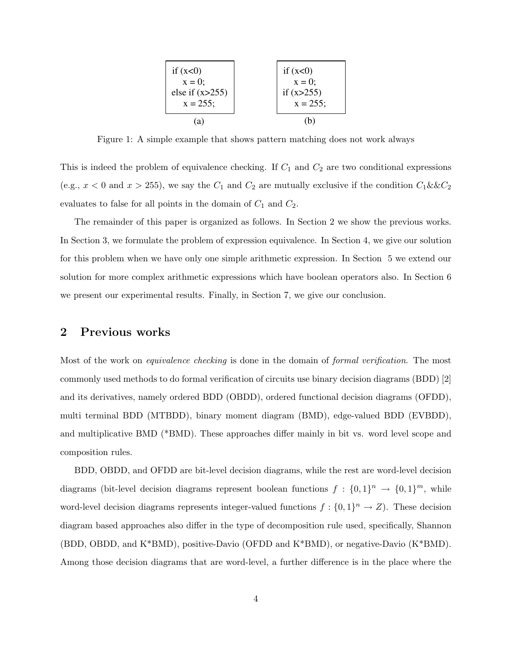

Figure 1: A simple example that shows pattern matching does not work always

This is indeed the problem of equivalence checking. If  $C_1$  and  $C_2$  are two conditional expressions (e.g.,  $x < 0$  and  $x > 255$ ), we say the  $C_1$  and  $C_2$  are mutually exclusive if the condition  $C_1 \&csc C_2$ evaluates to false for all points in the domain of  $C_1$  and  $C_2$ .

The remainder of this paper is organized as follows. In Section 2 we show the previous works. In Section 3, we formulate the problem of expression equivalence. In Section 4, we give our solution for this problem when we have only one simple arithmetic expression. In Section 5 we extend our solution for more complex arithmetic expressions which have boolean operators also. In Section 6 we present our experimental results. Finally, in Section 7, we give our conclusion.

### 2 Previous works

Most of the work on *equivalence checking* is done in the domain of *formal verification*. The most commonly used methods to do formal verification of circuits use binary decision diagrams (BDD) [2] and its derivatives, namely ordered BDD (OBDD), ordered functional decision diagrams (OFDD), multi terminal BDD (MTBDD), binary moment diagram (BMD), edge-valued BDD (EVBDD), and multiplicative BMD (\*BMD). These approaches differ mainly in bit vs. word level scope and composition rules.

BDD, OBDD, and OFDD are bit-level decision diagrams, while the rest are word-level decision diagrams (bit-level decision diagrams represent boolean functions  $f: \{0,1\}^n \to \{0,1\}^m$ , while word-level decision diagrams represents integer-valued functions  $f: \{0,1\}^n \to Z$ ). These decision diagram based approaches also differ in the type of decomposition rule used, specifically, Shannon (BDD, OBDD, and K\*BMD), positive-Davio (OFDD and K\*BMD), or negative-Davio (K\*BMD). Among those decision diagrams that are word-level, a further difference is in the place where the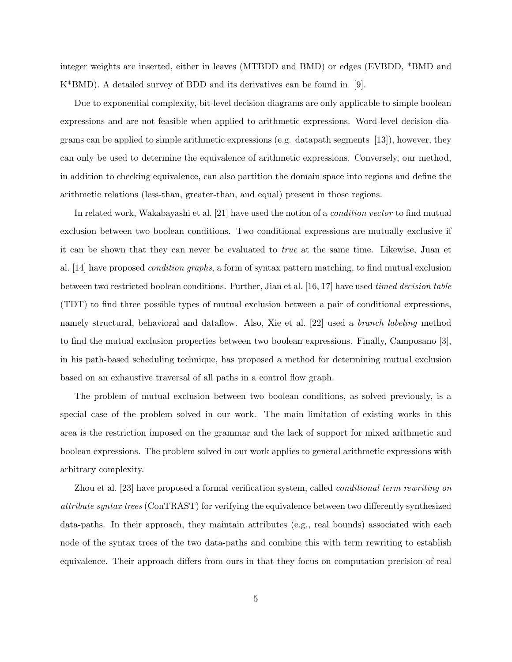integer weights are inserted, either in leaves (MTBDD and BMD) or edges (EVBDD, \*BMD and K\*BMD). A detailed survey of BDD and its derivatives can be found in [9].

Due to exponential complexity, bit-level decision diagrams are only applicable to simple boolean expressions and are not feasible when applied to arithmetic expressions. Word-level decision diagrams can be applied to simple arithmetic expressions (e.g. datapath segments [13]), however, they can only be used to determine the equivalence of arithmetic expressions. Conversely, our method, in addition to checking equivalence, can also partition the domain space into regions and define the arithmetic relations (less-than, greater-than, and equal) present in those regions.

In related work, Wakabayashi et al. [21] have used the notion of a condition vector to find mutual exclusion between two boolean conditions. Two conditional expressions are mutually exclusive if it can be shown that they can never be evaluated to true at the same time. Likewise, Juan et al. [14] have proposed condition graphs, a form of syntax pattern matching, to find mutual exclusion between two restricted boolean conditions. Further, Jian et al. [16, 17] have used timed decision table (TDT) to find three possible types of mutual exclusion between a pair of conditional expressions, namely structural, behavioral and dataflow. Also, Xie et al. [22] used a branch labeling method to find the mutual exclusion properties between two boolean expressions. Finally, Camposano [3], in his path-based scheduling technique, has proposed a method for determining mutual exclusion based on an exhaustive traversal of all paths in a control flow graph.

The problem of mutual exclusion between two boolean conditions, as solved previously, is a special case of the problem solved in our work. The main limitation of existing works in this area is the restriction imposed on the grammar and the lack of support for mixed arithmetic and boolean expressions. The problem solved in our work applies to general arithmetic expressions with arbitrary complexity.

Zhou et al. [23] have proposed a formal verification system, called conditional term rewriting on attribute syntax trees (ConTRAST) for verifying the equivalence between two differently synthesized data-paths. In their approach, they maintain attributes (e.g., real bounds) associated with each node of the syntax trees of the two data-paths and combine this with term rewriting to establish equivalence. Their approach differs from ours in that they focus on computation precision of real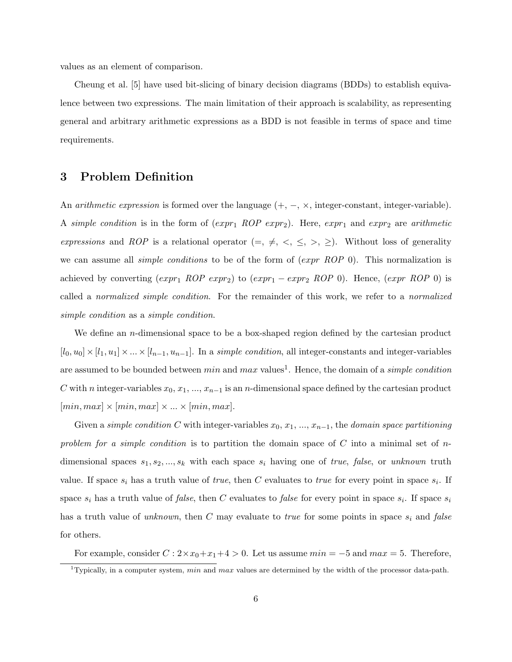values as an element of comparison.

Cheung et al. [5] have used bit-slicing of binary decision diagrams (BDDs) to establish equivalence between two expressions. The main limitation of their approach is scalability, as representing general and arbitrary arithmetic expressions as a BDD is not feasible in terms of space and time requirements.

### 3 Problem Definition

An *arithmetic expression* is formed over the language  $(+, -, \times, \text{integer-constant}, \text{integer-variable}).$ A simple condition is in the form of  $(exp_1 \; ROP \; expr_2)$ . Here,  $expr_1$  and  $expr_2$  are arithmetic expressions and ROP is a relational operator  $(=, \neq, \leq, \leq, \geq)$ . Without loss of generality we can assume all *simple conditions* to be of the form of  $(expr \ ROP 0)$ . This normalization is achieved by converting  $(exp_1 \; ROP \; expr_2)$  to  $(exp_1 - expr_2 \; ROP \; 0)$ . Hence,  $(exp \; ROP \; 0)$  is called a normalized simple condition. For the remainder of this work, we refer to a normalized simple condition as a simple condition.

We define an *n*-dimensional space to be a box-shaped region defined by the cartesian product  $[l_0, u_0] \times [l_1, u_1] \times ... \times [l_{n-1}, u_{n-1}]$ . In a *simple condition*, all integer-constants and integer-variables are assumed to be bounded between  $min$  and  $max$  values<sup>1</sup>. Hence, the domain of a *simple condition* C with n integer-variables  $x_0, x_1, ..., x_{n-1}$  is an n-dimensional space defined by the cartesian product  $[min, max] \times [min, max] \times ... \times [min, max].$ 

Given a simple condition C with integer-variables  $x_0, x_1, ..., x_{n-1}$ , the domain space partitioning problem for a simple condition is to partition the domain space of C into a minimal set of  $n$ dimensional spaces  $s_1, s_2, ..., s_k$  with each space  $s_i$  having one of *true, false*, or *unknown* truth value. If space  $s_i$  has a truth value of *true*, then C evaluates to *true* for every point in space  $s_i$ . If space  $s_i$  has a truth value of *false*, then C evaluates to *false* for every point in space  $s_i$ . If space  $s_i$ has a truth value of unknown, then C may evaluate to true for some points in space  $s_i$  and false for others.

For example, consider  $C: 2 \times x_0 + x_1 + 4 > 0$ . Let us assume  $min = -5$  and  $max = 5$ . Therefore,

<sup>&</sup>lt;sup>1</sup>Typically, in a computer system, min and max values are determined by the width of the processor data-path.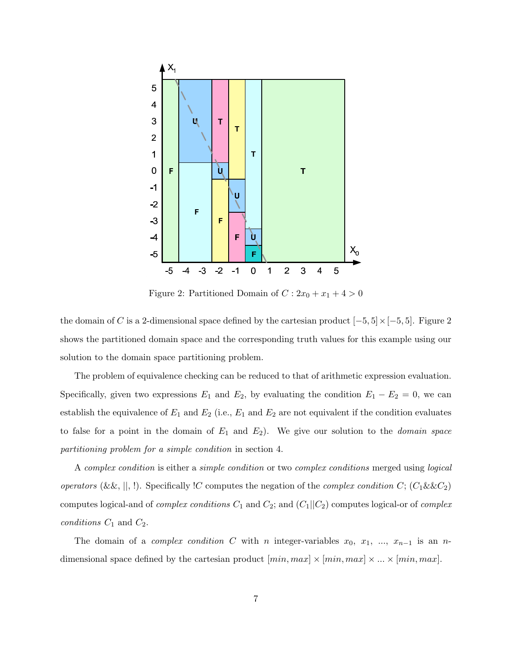

Figure 2: Partitioned Domain of  $C: 2x_0 + x_1 + 4 > 0$ 

the domain of C is a 2-dimensional space defined by the cartesian product  $[-5, 5] \times [-5, 5]$ . Figure 2 shows the partitioned domain space and the corresponding truth values for this example using our solution to the domain space partitioning problem.

The problem of equivalence checking can be reduced to that of arithmetic expression evaluation. Specifically, given two expressions  $E_1$  and  $E_2$ , by evaluating the condition  $E_1 - E_2 = 0$ , we can establish the equivalence of  $E_1$  and  $E_2$  (i.e.,  $E_1$  and  $E_2$  are not equivalent if the condition evaluates to false for a point in the domain of  $E_1$  and  $E_2$ ). We give our solution to the *domain space* partitioning problem for a simple condition in section 4.

A complex condition is either a simple condition or two complex conditions merged using logical operators (&&, ||, !). Specifically !C computes the negation of the *complex condition* C;  $(C_1 \&c C_2)$ computes logical-and of *complex conditions*  $C_1$  and  $C_2$ ; and  $(C_1||C_2)$  computes logical-or of *complex* conditions  $C_1$  and  $C_2$ .

The domain of a *complex condition* C with n integer-variables  $x_0, x_1, ..., x_{n-1}$  is an ndimensional space defined by the cartesian product  $[min, max] \times [min, max] \times ... \times [min, max]$ .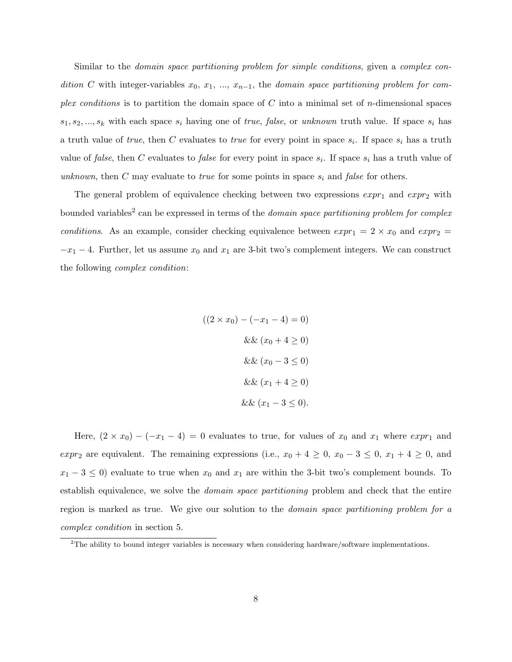Similar to the domain space partitioning problem for simple conditions, given a complex condition C with integer-variables  $x_0, x_1, ..., x_{n-1}$ , the domain space partitioning problem for complex conditions is to partition the domain space of C into a minimal set of n-dimensional spaces  $s_1, s_2, ..., s_k$  with each space  $s_i$  having one of *true*, *false*, or *unknown* truth value. If space  $s_i$  has a truth value of *true*, then C evaluates to *true* for every point in space  $s_i$ . If space  $s_i$  has a truth value of *false*, then C evaluates to *false* for every point in space  $s_i$ . If space  $s_i$  has a truth value of unknown, then C may evaluate to *true* for some points in space  $s_i$  and *false* for others.

The general problem of equivalence checking between two expressions  $expr_1$  and  $expr_2$  with bounded variables<sup>2</sup> can be expressed in terms of the *domain space partitioning problem for complex* conditions. As an example, consider checking equivalence between  $\exp r_1 = 2 \times x_0$  and  $\exp r_2 =$  $-x_1 - 4$ . Further, let us assume  $x_0$  and  $x_1$  are 3-bit two's complement integers. We can construct the following complex condition:

$$
((2 \times x_0) - (-x_1 - 4) = 0)
$$

$$
\&& (x_0 + 4 \ge 0)
$$

$$
\&& (x_0 - 3 \le 0)
$$

$$
\&& (x_1 + 4 \ge 0)
$$

$$
\&& (x_1 - 3 \le 0).
$$

Here,  $(2 \times x_0) - (-x_1 - 4) = 0$  evaluates to true, for values of  $x_0$  and  $x_1$  where  $\exp r_1$  and expr<sub>2</sub> are equivalent. The remaining expressions (i.e.,  $x_0 + 4 \ge 0$ ,  $x_0 - 3 \le 0$ ,  $x_1 + 4 \ge 0$ , and  $x_1 - 3 \leq 0$ ) evaluate to true when  $x_0$  and  $x_1$  are within the 3-bit two's complement bounds. To establish equivalence, we solve the *domain space partitioning* problem and check that the entire region is marked as true. We give our solution to the domain space partitioning problem for a complex condition in section 5.

 $2$ The ability to bound integer variables is necessary when considering hardware/software implementations.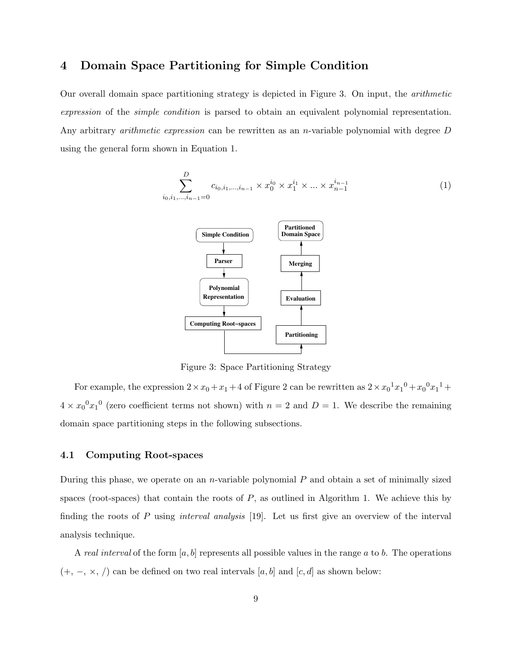### 4 Domain Space Partitioning for Simple Condition

Our overall domain space partitioning strategy is depicted in Figure 3. On input, the arithmetic expression of the simple condition is parsed to obtain an equivalent polynomial representation. Any arbitrary *arithmetic expression* can be rewritten as an *n*-variable polynomial with degree D using the general form shown in Equation 1.

$$
\sum_{i_0, i_1, \dots, i_{n-1} = 0}^{D} c_{i_0, i_1, \dots, i_{n-1}} \times x_0^{i_0} \times x_1^{i_1} \times \dots \times x_{n-1}^{i_{n-1}}
$$
 (1)



Figure 3: Space Partitioning Strategy

For example, the expression  $2 \times x_0 + x_1 + 4$  of Figure 2 can be rewritten as  $2 \times x_0^1 x_1^0 + x_0^0 x_1^1 +$  $4 \times x_0^0 x_1^0$  (zero coefficient terms not shown) with  $n = 2$  and  $D = 1$ . We describe the remaining domain space partitioning steps in the following subsections.

#### 4.1 Computing Root-spaces

During this phase, we operate on an *n*-variable polynomial  $P$  and obtain a set of minimally sized spaces (root-spaces) that contain the roots of  $P$ , as outlined in Algorithm 1. We achieve this by finding the roots of  $P$  using *interval analysis* [19]. Let us first give an overview of the interval analysis technique.

A real interval of the form  $[a, b]$  represents all possible values in the range a to b. The operations  $(+, -, \times, /)$  can be defined on two real intervals [a, b] and [c, d] as shown below: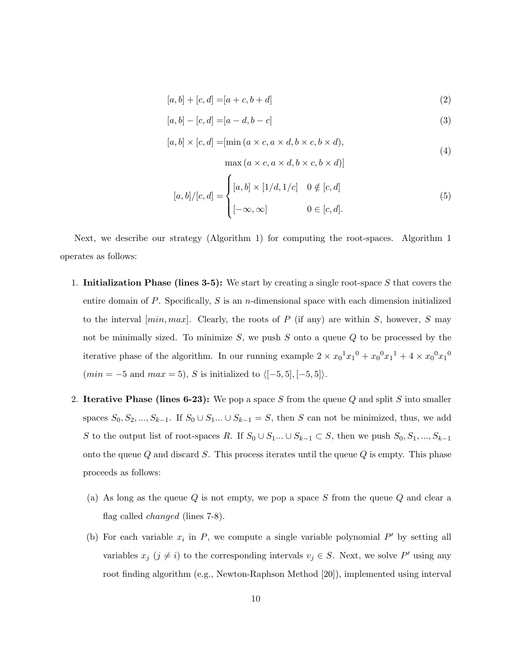$$
[a, b] + [c, d] = [a + c, b + d]
$$
\n(2)

$$
[a, b] - [c, d] = [a - d, b - c]
$$
\n(3)

$$
[a, b] \times [c, d] = [\min(a \times c, a \times d, b \times c, b \times d),
$$
\n
$$
(4)
$$

$$
\max(a \times c, a \times d, b \times c, b \times d)]
$$

$$
[a,b]/[c,d] = \begin{cases} [a,b] \times [1/d,1/c] & 0 \notin [c,d] \\ [-\infty,\infty] & 0 \in [c,d]. \end{cases}
$$
(5)

Next, we describe our strategy (Algorithm 1) for computing the root-spaces. Algorithm 1 operates as follows:

- 1. Initialization Phase (lines 3-5): We start by creating a single root-space S that covers the entire domain of P. Specifically, S is an *n*-dimensional space with each dimension initialized to the interval  $(min, max]$ . Clearly, the roots of P (if any) are within S, however, S may not be minimally sized. To minimize  $S$ , we push  $S$  onto a queue  $Q$  to be processed by the iterative phase of the algorithm. In our running example  $2 \times x_0^1 x_1^0 + x_0^0 x_1^1 + 4 \times x_0^0 x_1^0$  $(min = -5 \text{ and } max = 5), S \text{ is initialized to } \langle [-5, 5], [-5, 5] \rangle.$
- 2. Iterative Phase (lines 6-23): We pop a space S from the queue Q and split S into smaller spaces  $S_0, S_2, ..., S_{k-1}$ . If  $S_0 \cup S_1 ... \cup S_{k-1} = S$ , then S can not be minimized, thus, we add S to the output list of root-spaces R. If  $S_0 \cup S_1... \cup S_{k-1} \subset S$ , then we push  $S_0, S_1, ..., S_{k-1}$ onto the queue  $Q$  and discard  $S$ . This process iterates until the queue  $Q$  is empty. This phase proceeds as follows:
	- (a) As long as the queue  $Q$  is not empty, we pop a space  $S$  from the queue  $Q$  and clear a flag called changed (lines 7-8).
	- (b) For each variable  $x_i$  in P, we compute a single variable polynomial P' by setting all variables  $x_j$   $(j \neq i)$  to the corresponding intervals  $v_j \in S$ . Next, we solve P' using any root finding algorithm (e.g., Newton-Raphson Method [20]), implemented using interval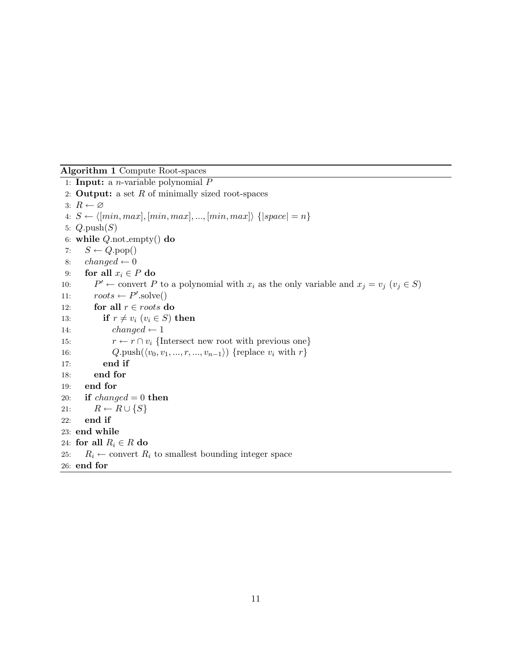#### Algorithm 1 Compute Root-spaces

```
1: Input: a n-variable polynomial P2: Output: a set R of minimally sized root-spaces
 3: R \leftarrow \varnothing4: S \leftarrow \langle [min, max], [min, max], ..., [min, max] \rangle {|space| = n}
 5: Q.\text{push}(S)6: while Q not empty() do
 7: S \leftarrow Q.pop()8: changed \leftarrow 09: for all x_i \in P do
10:P' \leftarrow convert P to a polynomial with x_i as the only variable and x_j = v_j (v_j \in S)11: roots \leftarrow P'.\text{solve}()12: for all r \in roots do
13: if r \neq v_i (v_i \in S) then
14: changed \leftarrow 115: r \leftarrow r \cap v_i {Intersect new root with previous one}
16: Q.\text{push}(\langle v_0, v_1, ..., r, ..., v_{n-1}\rangle) {replace v_i with r}
17: end if
18: end for
19: end for
20: if changed = 0 then
21: R \leftarrow R \cup \{S\}22: end if
23: end while
24: for all R_i \in R do
25: R_i \leftarrow convert R_i to smallest bounding integer space
26: end for
```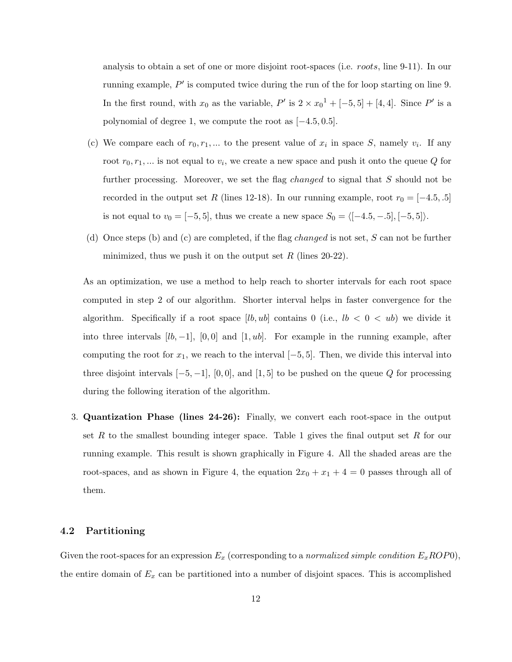analysis to obtain a set of one or more disjoint root-spaces (i.e. roots, line 9-11). In our running example,  $P'$  is computed twice during the run of the for loop starting on line 9. In the first round, with  $x_0$  as the variable,  $P'$  is  $2 \times x_0^1 + [-5, 5] + [4, 4]$ . Since  $P'$  is a polynomial of degree 1, we compute the root as [−4.5, 0.5].

- (c) We compare each of  $r_0, r_1, \ldots$  to the present value of  $x_i$  in space S, namely  $v_i$ . If any root  $r_0, r_1, \dots$  is not equal to  $v_i$ , we create a new space and push it onto the queue Q for further processing. Moreover, we set the flag *changed* to signal that S should not be recorded in the output set R (lines 12-18). In our running example, root  $r_0 = [-4.5, .5]$ is not equal to  $v_0 = [-5, 5]$ , thus we create a new space  $S_0 = \langle [-4.5, -.5], [-5, 5] \rangle$ .
- (d) Once steps (b) and (c) are completed, if the flag *changed* is not set,  $S$  can not be further minimized, thus we push it on the output set R (lines  $20-22$ ).

As an optimization, we use a method to help reach to shorter intervals for each root space computed in step 2 of our algorithm. Shorter interval helps in faster convergence for the algorithm. Specifically if a root space  $[lb, ub]$  contains 0 (i.e.,  $lb < 0 < ub$ ) we divide it into three intervals  $[lb, -1]$ ,  $[0, 0]$  and  $[1, ub]$ . For example in the running example, after computing the root for  $x_1$ , we reach to the interval  $[-5, 5]$ . Then, we divide this interval into three disjoint intervals  $[-5, -1]$ ,  $[0, 0]$ , and  $[1, 5]$  to be pushed on the queue Q for processing during the following iteration of the algorithm.

3. Quantization Phase (lines 24-26): Finally, we convert each root-space in the output set R to the smallest bounding integer space. Table 1 gives the final output set R for our running example. This result is shown graphically in Figure 4. All the shaded areas are the root-spaces, and as shown in Figure 4, the equation  $2x_0 + x_1 + 4 = 0$  passes through all of them.

#### 4.2 Partitioning

Given the root-spaces for an expression  $E_x$  (corresponding to a normalized simple condition  $E_x ROP0$ ), the entire domain of  $E_x$  can be partitioned into a number of disjoint spaces. This is accomplished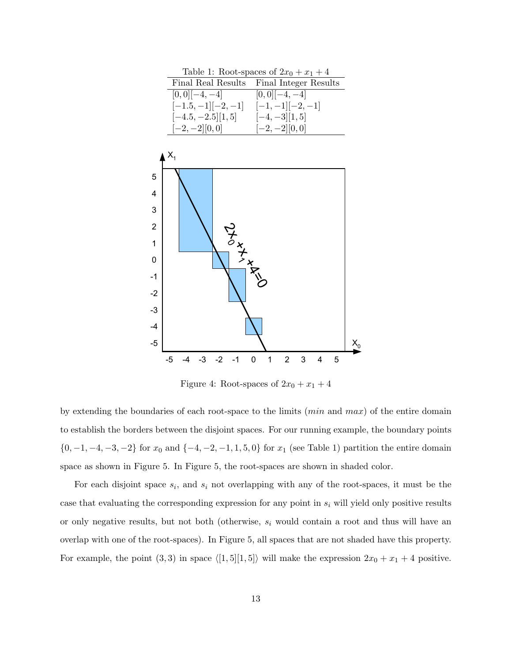

Figure 4: Root-spaces of  $2x_0 + x_1 + 4$ 

space as shown in Figure 5. In Figure 5, the root-spaces are shown in shaded color.  $\{0, -1, -4, -3, -2\}$  for  $x_0$  and  $\{-4, -2, -1, 1, 5, 0\}$  for  $x_1$  (see Table 1) partition the entire domain ' to establish the borders between the disjoint spaces. For our running example, the boundary points by extending the boundaries of each root-space to the limits  $(min \text{ and } max)$  of the entire domain

For example, the point  $(3,3)$  in space  $\langle [1,5][1,5] \rangle$  will make the expression  $2x_0 + x_1 + 4$  positive. !# overlap with one of the root-spaces). In Figure 5, all spaces that are not shaded have this property. or only negative results, but not both (otherwise,  $s_i$  would contain a root and thus will have an For each disjoint space  $s_i$ , and  $s_i$  not overlapping with any of the root-spaces, it must be the case that evaluating the corresponding expression for any point in  $s_i$  will yield only positive results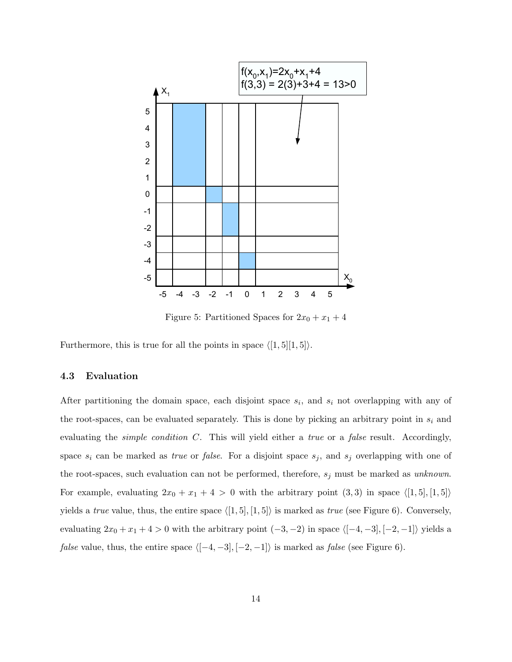

Figure 5: Partitioned Spaces for  $2x_0 + x_1 + 4$ 

Furthermore, this is true for all the points in space  $\langle [1, 5][1, 5]\rangle$ .

#### 4.3 Evaluation

After partitioning the domain space, each disjoint space  $s_i$ , and  $s_i$  not overlapping with any of the root-spaces, can be evaluated separately. This is done by picking an arbitrary point in  $s_i$  and evaluating the *simple condition C*. This will yield either a *true* or a *false* result. Accordingly, space  $s_i$  can be marked as *true* or *false*. For a disjoint space  $s_j$ , and  $s_j$  overlapping with one of the root-spaces, such evaluation can not be performed, therefore,  $s_j$  must be marked as unknown. For example, evaluating  $2x_0 + x_1 + 4 > 0$  with the arbitrary point  $(3,3)$  in space  $\langle [1,5], [1,5] \rangle$ yields a true value, thus, the entire space  $\langle [1, 5], [1, 5] \rangle$  is marked as true (see Figure 6). Conversely, evaluating  $2x_0 + x_1 + 4 > 0$  with the arbitrary point  $(-3, -2)$  in space  $\langle [-4, -3], [-2, -1] \rangle$  yields a *false* value, thus, the entire space  $\langle [-4, -3], [-2, -1] \rangle$  is marked as *false* (see Figure 6).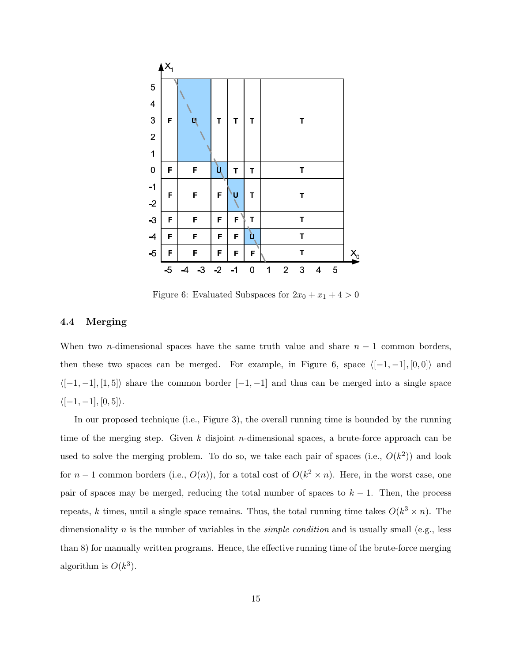

Figure 6: Evaluated Subspaces for  $2x_0 + x_1 + 4 > 0$ 

#### 4.4 Merging

When two *n*-dimensional spaces have the same truth value and share  $n - 1$  common borders, then these two spaces can be merged. For example, in Figure 6, space  $([-1, -1], [0, 0])$  and  $\langle [-1, -1], [1, 5] \rangle$  share the common border  $[-1, -1]$  and thus can be merged into a single space  $\langle [-1, -1], [0, 5] \rangle.$ 

In our proposed technique (i.e., Figure 3), the overall running time is bounded by the running time of the merging step. Given k disjoint n-dimensional spaces, a brute-force approach can be used to solve the merging problem. To do so, we take each pair of spaces (i.e.,  $O(k^2)$ ) and look for  $n-1$  common borders (i.e.,  $O(n)$ ), for a total cost of  $O(k^2 \times n)$ . Here, in the worst case, one pair of spaces may be merged, reducing the total number of spaces to  $k - 1$ . Then, the process repeats, k times, until a single space remains. Thus, the total running time takes  $O(k^3 \times n)$ . The dimensionality n is the number of variables in the *simple condition* and is usually small (e.g., less than 8) for manually written programs. Hence, the effective running time of the brute-force merging algorithm is  $O(k^3)$ .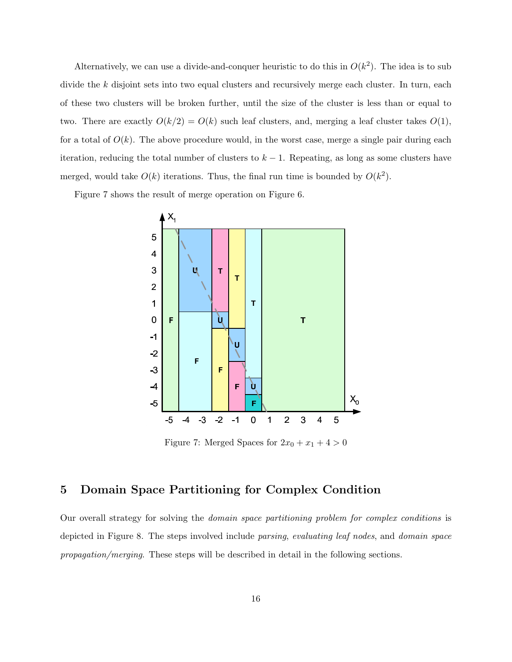Alternatively, we can use a divide-and-conquer heuristic to do this in  $O(k^2)$ . The idea is to sub divide the k disjoint sets into two equal clusters and recursively merge each cluster. In turn, each of these two clusters will be broken further, until the size of the cluster is less than or equal to two. There are exactly  $O(k/2) = O(k)$  such leaf clusters, and, merging a leaf cluster takes  $O(1)$ , for a total of  $O(k)$ . The above procedure would, in the worst case, merge a single pair during each iteration, reducing the total number of clusters to  $k - 1$ . Repeating, as long as some clusters have merged, would take  $O(k)$  iterations. Thus, the final run time is bounded by  $O(k^2)$ .

Figure 7 shows the result of merge operation on Figure 6.



Figure 7: Merged Spaces for  $2x_0 + x_1 + 4 > 0$ 

## 5 Domain Space Partitioning for Complex Condition

Our overall strategy for solving the domain space partitioning problem for complex conditions is depicted in Figure 8. The steps involved include parsing, evaluating leaf nodes, and domain space propagation/merging. These steps will be described in detail in the following sections.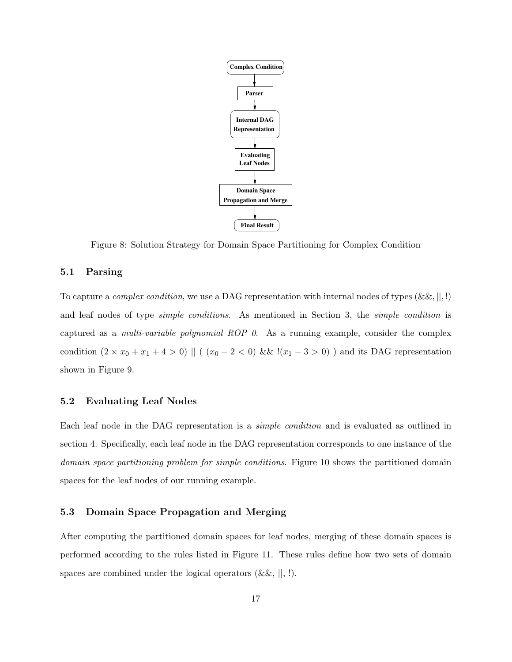

Figure 8: Solution Strategy for Domain Space Partitioning for Complex Condition

#### 5.1 Parsing

To capture a *complex condition*, we use a DAG representation with internal nodes of types  $(\&\&\,, \|, \cdot)$ and leaf nodes of type *simple conditions*. As mentioned in Section 3, the *simple condition* is captured as a multi-variable polynomial ROP 0. As a running example, consider the complex condition  $(2 \times x_0 + x_1 + 4 > 0)$  || ( $(x_0 - 2 < 0)$  && ! $(x_1 - 3 > 0)$ ) and its DAG representation shown in Figure 9.

#### 5.2 Evaluating Leaf Nodes

Each leaf node in the DAG representation is a simple condition and is evaluated as outlined in section 4. Specifically, each leaf node in the DAG representation corresponds to one instance of the domain space partitioning problem for simple conditions. Figure 10 shows the partitioned domain spaces for the leaf nodes of our running example.

#### 5.3 Domain Space Propagation and Merging

After computing the partitioned domain spaces for leaf nodes, merging of these domain spaces is performed according to the rules listed in Figure 11. These rules define how two sets of domain spaces are combined under the logical operators  $(\&\&\,,\,|,\,!)$ .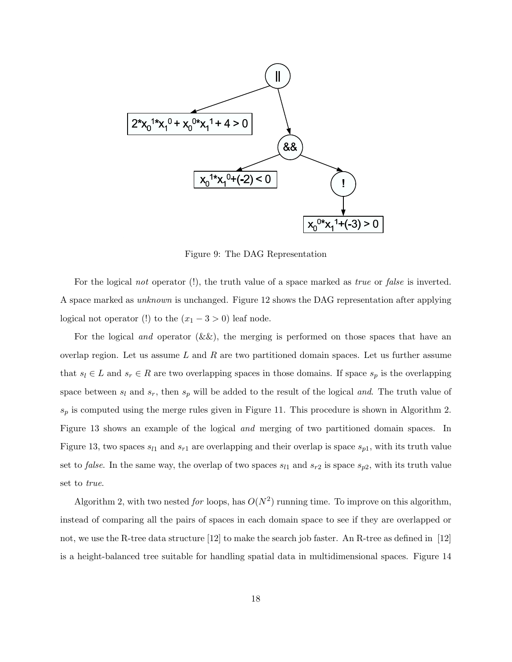

Figure 9: The DAG Representation

For the logical not operator (!), the truth value of a space marked as true or false is inverted. A space marked as unknown is unchanged. Figure 12 shows the DAG representation after applying logical not operator (!) to the  $(x_1 - 3 > 0)$  leaf node.

For the logical *and* operator  $(k \& k)$ , the merging is performed on those spaces that have an overlap region. Let us assume  $L$  and  $R$  are two partitioned domain spaces. Let us further assume that  $s_l \in L$  and  $s_r \in R$  are two overlapping spaces in those domains. If space  $s_p$  is the overlapping space between  $s_l$  and  $s_r$ , then  $s_p$  will be added to the result of the logical and. The truth value of  $s_p$  is computed using the merge rules given in Figure 11. This procedure is shown in Algorithm 2. Figure 13 shows an example of the logical and merging of two partitioned domain spaces. In Figure 13, two spaces  $s_{l1}$  and  $s_{r1}$  are overlapping and their overlap is space  $s_{p1}$ , with its truth value set to *false*. In the same way, the overlap of two spaces  $s_{l1}$  and  $s_{r2}$  is space  $s_{p2}$ , with its truth value set to true.

Algorithm 2, with two nested for loops, has  $O(N^2)$  running time. To improve on this algorithm, instead of comparing all the pairs of spaces in each domain space to see if they are overlapped or not, we use the R-tree data structure [12] to make the search job faster. An R-tree as defined in [12] is a height-balanced tree suitable for handling spatial data in multidimensional spaces. Figure 14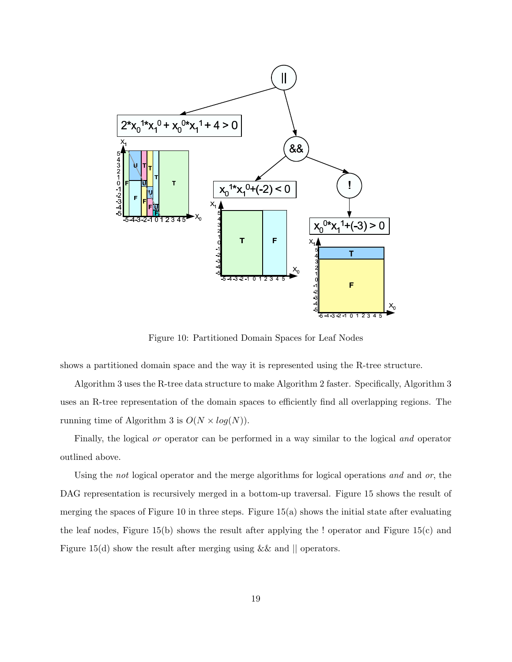

Figure 10: Partitioned Domain Spaces for Leaf Nodes

shows a partitioned domain space and the way it is represented using the R-tree structure.

Algorithm 3 uses the R-tree data structure to make Algorithm 2 faster. Specifically, Algorithm 3 uses an R-tree representation of the domain spaces to efficiently find all overlapping regions. The running time of Algorithm 3 is  $O(N \times log(N)).$ 

Finally, the logical or operator can be performed in a way similar to the logical and operator outlined above.

Using the *not* logical operator and the merge algorithms for logical operations and and or, the DAG representation is recursively merged in a bottom-up traversal. Figure 15 shows the result of merging the spaces of Figure 10 in three steps. Figure  $15(a)$  shows the initial state after evaluating the leaf nodes, Figure 15(b) shows the result after applying the ! operator and Figure 15(c) and Figure 15(d) show the result after merging using  $\&\&$  and  $\parallel$  operators.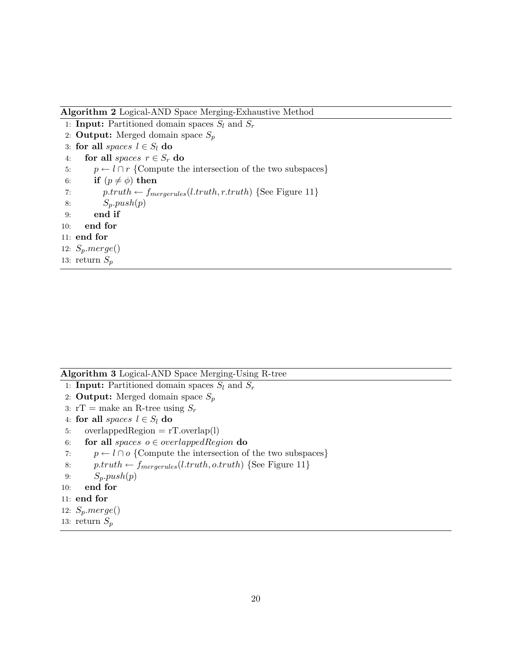Algorithm 2 Logical-AND Space Merging-Exhaustive Method

- 1: **Input:** Partitioned domain spaces  $S_l$  and  $S_r$
- 2: **Output:** Merged domain space  $S_p$
- 3: for all spaces  $l \in S_l$  do
- 4: for all spaces  $r \in S_r$  do
- 5:  $p \leftarrow l \cap r$  {Compute the intersection of the two subspaces}
- 6: if  $(p \neq \phi)$  then
- 7:  $p.truth \leftarrow f_{mergerules}(l.truth, r.truth)$  {See Figure 11}
- 8:  $S_p.push(p)$
- 9: end if
- 10: end for
- 11: end for
- 12:  $S_p.merge()$
- 13: return S<sup>p</sup>

| <b>Algorithm 3</b> Logical-AND Space Merging-Using R-tree |  |  |  |
|-----------------------------------------------------------|--|--|--|
|-----------------------------------------------------------|--|--|--|

- 1: **Input:** Partitioned domain spaces  $S_l$  and  $S_r$
- 2: **Output:** Merged domain space  $S_p$
- 3:  $rT =$  make an R-tree using  $S_r$
- 4: for all spaces  $l \in S_l$  do
- 5: overlappedRegion  $= rT.$ overlap(l)
- 6: for all spaces  $o \in overlappedRegion$  do
- 7:  $p \leftarrow l \cap o$  {Compute the intersection of the two subspaces}
- 8:  $p.truth \leftarrow f_{mergerules}(l.truth, o.truth)$  {See Figure 11}
- 9:  $S_p.push(p)$
- 10: end for
- 11: end for
- 12:  $S_p.merge()$
- 13: return  $S_p$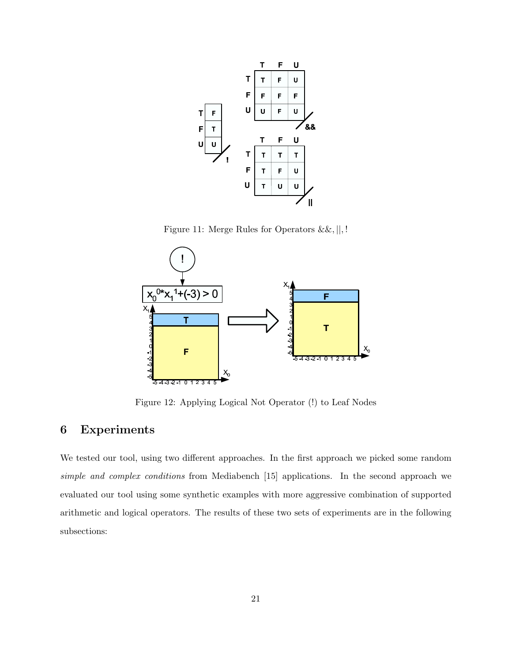

Figure 11: Merge Rules for Operators &&, ||, !



Figure 12: Applying Logical Not Operator (!) to Leaf Nodes

## 6 Experiments

We tested our tool, using two different approaches. In the first approach we picked some random simple and complex conditions from Mediabench [15] applications. In the second approach we evaluated our tool using some synthetic examples with more aggressive combination of supported arithmetic and logical operators. The results of these two sets of experiments are in the following subsections: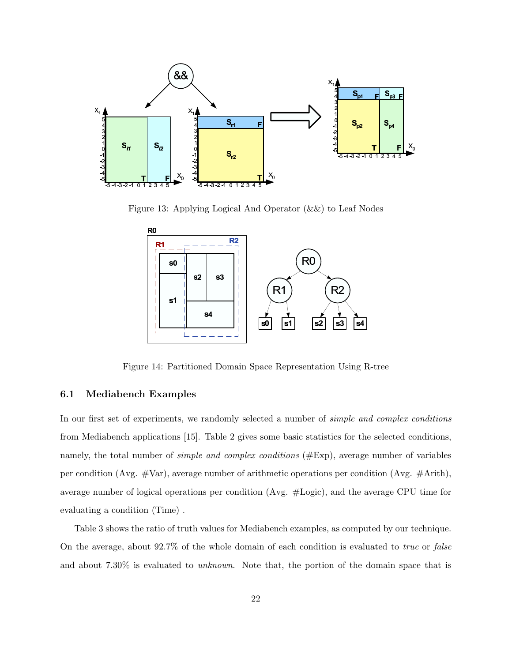

Figure 13: Applying Logical And Operator (&&) to Leaf Nodes



Figure 14: Partitioned Domain Space Representation Using R-tree

#### 6.1 Mediabench Examples

In our first set of experiments, we randomly selected a number of *simple and complex conditions* from Mediabench applications [15]. Table 2 gives some basic statistics for the selected conditions, namely, the total number of *simple and complex conditions* (#Exp), average number of variables per condition (Avg. #Var), average number of arithmetic operations per condition (Avg. #Arith), average number of logical operations per condition (Avg. #Logic), and the average CPU time for evaluating a condition (Time) .

Table 3 shows the ratio of truth values for Mediabench examples, as computed by our technique. On the average, about 92.7% of the whole domain of each condition is evaluated to true or false and about 7.30% is evaluated to unknown. Note that, the portion of the domain space that is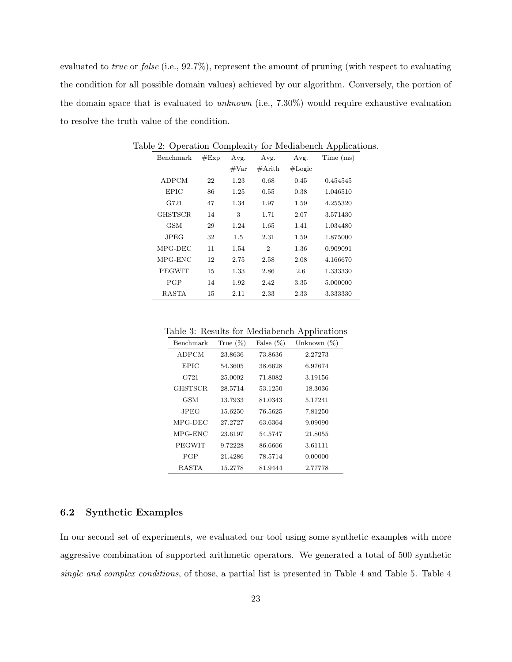evaluated to *true* or *false* (i.e., 92.7%), represent the amount of pruning (with respect to evaluating the condition for all possible domain values) achieved by our algorithm. Conversely, the portion of the domain space that is evaluated to *unknown* (i.e.,  $7.30\%$ ) would require exhaustive evaluation to resolve the truth value of the condition.

| Benchmark     | #Exp | Avg.           | Avg.             | Avg.   | Time (ms) |
|---------------|------|----------------|------------------|--------|-----------|
|               |      | $\#\text{Var}$ | $\#\text{Arith}$ | #Logic |           |
| ADPCM         | 22   | 1.23           | 0.68             | 0.45   | 0.454545  |
| <b>EPIC</b>   | 86   | 1.25           | 0.55             | 0.38   | 1.046510  |
| G721          | 47   | 1.34           | 1.97             | 1.59   | 4.255320  |
| GHSTSCR.      | 14   | 3              | 1.71             | 2.07   | 3.571430  |
| GSM           | 29   | 1.24           | 1.65             | 1.41   | 1.034480  |
| JPEG.         | 32   | $1.5\,$        | 2.31             | 1.59   | 1.875000  |
| MPG-DEC       | 11   | 1.54           | $\overline{2}$   | 1.36   | 0.909091  |
| MPG-ENC       | 12   | 2.75           | 2.58             | 2.08   | 4.166670  |
| <b>PEGWIT</b> | 15   | 1.33           | 2.86             | 2.6    | 1.333330  |
| PGP           | 14   | 1.92           | 2.42             | 3.35   | 5.000000  |
| <b>RASTA</b>  | 15   | 2.11           | 2.33             | 2.33   | 3.333330  |

Table 2: Operation Complexity for Mediabench Applications.

Table 3: Results for Mediabench Applications

| Benchmark | True $(\%)$ | False $(\%)$ | Unknown $(\%)$ |
|-----------|-------------|--------------|----------------|
| ADPCM     | 23.8636     | 73.8636      | 2.27273        |
| EPIC      | 54.3605     | 38.6628      | 6.97674        |
| G721      | 25.0002     | 71.8082      | 3.19156        |
| GHSTSCR.  | 28.5714     | 53.1250      | 18.3036        |
| GSM       | 13.7933     | 81.0343      | 5.17241        |
| JPEG.     | 15.6250     | 76.5625      | 7.81250        |
| MPG-DEC   | 27.2727     | 63.6364      | 9.09090        |
| MPG-ENC   | 23.6197     | 54.5747      | 21.8055        |
| PEGWIT    | 9.72228     | 86.6666      | 3.61111        |
| PGP       | 21.4286     | 78.5714      | 0.00000        |
| RASTA     | 15.2778     | 81.9444      | 2.77778        |

#### 6.2 Synthetic Examples

In our second set of experiments, we evaluated our tool using some synthetic examples with more aggressive combination of supported arithmetic operators. We generated a total of 500 synthetic single and complex conditions, of those, a partial list is presented in Table 4 and Table 5. Table 4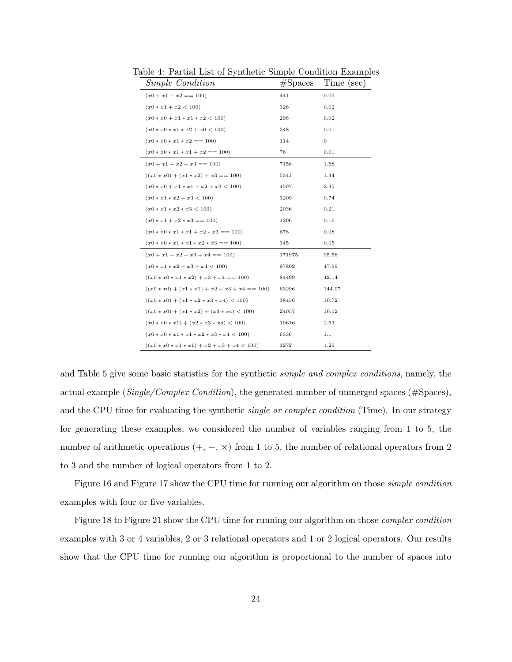| <i>Simple Condition</i>                         | #Spaces | Time (sec) |
|-------------------------------------------------|---------|------------|
| $(x0 + x1 + x2 == 100)$                         | 441     | 0.05       |
| $(x0 * x1 + x2 < 100)$                          | 326     | 0.02       |
| $(x0 * x0 + x1 * x1 * x2 < 100)$                | 298     | 0.02       |
| $(x0 * x0 * x1 * x2 + x0 < 100)$                | 248     | 0.01       |
| $(x0 * x0 * x1 * x2 == 100)$                    | 114     | 0          |
| $(x0 * x0 * x1 * x1 + x2 == 100)$               | 76      | 0.01       |
| $(x0 + x1 + x2 + x3 == 100)$                    | 7158    | 1.58       |
| $((x0 * x0) + (x1 * x2) + x3 == 100)$           | 5341    | 1.34       |
| $(x0 * x0 + x1 * x1 + x2 + x3 < 100)$           | 4597    | 2.35       |
| $(x0 * x1 * x2 + x3 < 100)$                     | 3209    | 0.74       |
| $(x0 * x1 * x2 * x3 < 100)$                     | 2036    | 0.21       |
| $(x0 * x1 + x2 * x3 == 100)$                    | 1296    | 0.16       |
| $(x0 * x0 * x1 * x1 + x2 * x3 == 100)$          | 678     | 0.08       |
| $(x0 * x0 * x1 * x1 * x2 * x3 == 100)$          | 345     | 0.05       |
| $(x0 + x1 + x2 + x3 + x4 == 100)$               | 171975  | 95.58      |
| $(x0 * x1 * x2 + x3 + x4 < 100)$                | 97802   | 47.99      |
| $((x0 * x0 * x1 * x2) + x3 + x4 == 100)$        | 84499   | 42.14      |
| $((x0 * x0) + (x1 * x1) + x2 + x3 + x4 == 100)$ | 63296   | 144.97     |
| $((x0 * x0) + (x1 * x2 * x3 * x4) < 100)$       | 38456   | 10.72      |
| $((x0 * x0) + (x1 * x2) + (x3 * x4) < 100)$     | 24057   | 10.02      |
| $(x0 * x0 * x1) + (x2 * x3 * x4) < 100$         | 10616   | 2.63       |
| $(x0 * x0 * x1 * x1 * x2 * x3 * x4 < 100)$      | 6336    | 1.1        |
| $((x0 * x0 * x1 * x1) + x2 + x3 + x4 < 100)$    | 3272    | 1.29       |

Table 4: Partial List of Synthetic Simple Condition Examples

and Table 5 give some basic statistics for the synthetic *simple and complex conditions*, namely, the actual example ( $Single/Complex Condition$ ), the generated number of unmerged spaces (#Spaces), and the CPU time for evaluating the synthetic *single or complex condition* (Time). In our strategy for generating these examples, we considered the number of variables ranging from 1 to 5, the number of arithmetic operations  $(+, -, \times)$  from 1 to 5, the number of relational operators from 2 to 3 and the number of logical operators from 1 to 2.

Figure 16 and Figure 17 show the CPU time for running our algorithm on those simple condition examples with four or five variables.

Figure 18 to Figure 21 show the CPU time for running our algorithm on those complex condition examples with 3 or 4 variables, 2 or 3 relational operators and 1 or 2 logical operators. Our results show that the CPU time for running our algorithm is proportional to the number of spaces into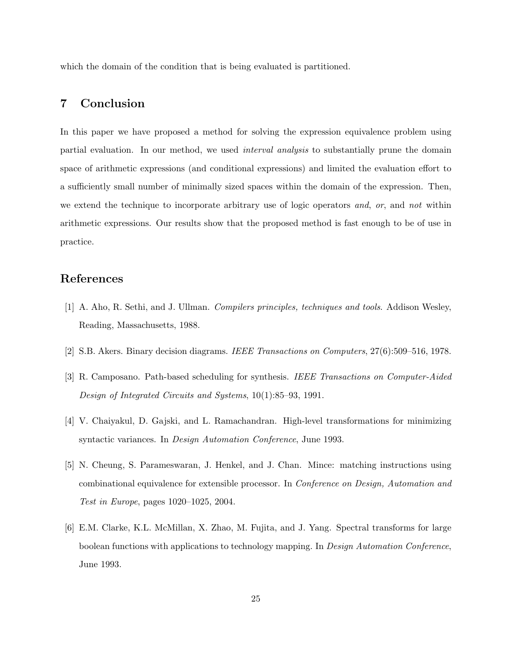which the domain of the condition that is being evaluated is partitioned.

## 7 Conclusion

In this paper we have proposed a method for solving the expression equivalence problem using partial evaluation. In our method, we used interval analysis to substantially prune the domain space of arithmetic expressions (and conditional expressions) and limited the evaluation effort to a sufficiently small number of minimally sized spaces within the domain of the expression. Then, we extend the technique to incorporate arbitrary use of logic operators and, or, and not within arithmetic expressions. Our results show that the proposed method is fast enough to be of use in practice.

### References

- [1] A. Aho, R. Sethi, and J. Ullman. Compilers principles, techniques and tools. Addison Wesley, Reading, Massachusetts, 1988.
- [2] S.B. Akers. Binary decision diagrams. IEEE Transactions on Computers, 27(6):509-516, 1978.
- [3] R. Camposano. Path-based scheduling for synthesis. IEEE Transactions on Computer-Aided Design of Integrated Circuits and Systems, 10(1):85–93, 1991.
- [4] V. Chaiyakul, D. Gajski, and L. Ramachandran. High-level transformations for minimizing syntactic variances. In Design Automation Conference, June 1993.
- [5] N. Cheung, S. Parameswaran, J. Henkel, and J. Chan. Mince: matching instructions using combinational equivalence for extensible processor. In Conference on Design, Automation and Test in Europe, pages 1020–1025, 2004.
- [6] E.M. Clarke, K.L. McMillan, X. Zhao, M. Fujita, and J. Yang. Spectral transforms for large boolean functions with applications to technology mapping. In Design Automation Conference, June 1993.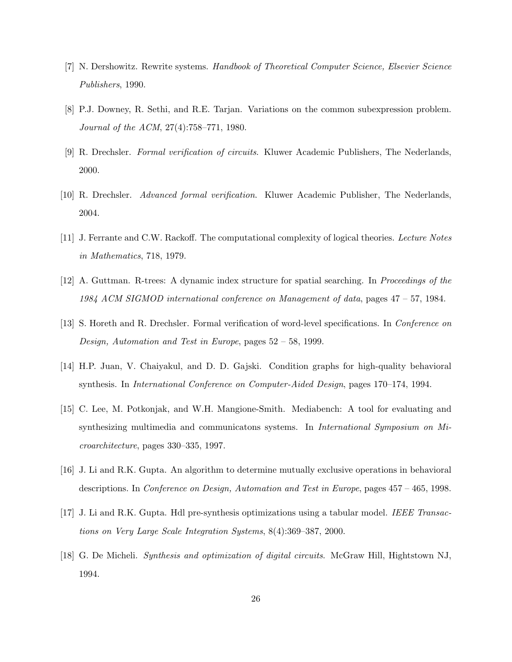- [7] N. Dershowitz. Rewrite systems. Handbook of Theoretical Computer Science, Elsevier Science Publishers, 1990.
- [8] P.J. Downey, R. Sethi, and R.E. Tarjan. Variations on the common subexpression problem. Journal of the ACM, 27(4):758–771, 1980.
- [9] R. Drechsler. Formal verification of circuits. Kluwer Academic Publishers, The Nederlands, 2000.
- [10] R. Drechsler. Advanced formal verification. Kluwer Academic Publisher, The Nederlands, 2004.
- [11] J. Ferrante and C.W. Rackoff. The computational complexity of logical theories. Lecture Notes in Mathematics, 718, 1979.
- [12] A. Guttman. R-trees: A dynamic index structure for spatial searching. In Proceedings of the 1984 ACM SIGMOD international conference on Management of data, pages 47 – 57, 1984.
- [13] S. Horeth and R. Drechsler. Formal verification of word-level specifications. In Conference on Design, Automation and Test in Europe, pages 52 – 58, 1999.
- [14] H.P. Juan, V. Chaiyakul, and D. D. Gajski. Condition graphs for high-quality behavioral synthesis. In International Conference on Computer-Aided Design, pages 170–174, 1994.
- [15] C. Lee, M. Potkonjak, and W.H. Mangione-Smith. Mediabench: A tool for evaluating and synthesizing multimedia and communicatons systems. In International Symposium on Microarchitecture, pages 330–335, 1997.
- [16] J. Li and R.K. Gupta. An algorithm to determine mutually exclusive operations in behavioral descriptions. In Conference on Design, Automation and Test in Europe, pages 457 – 465, 1998.
- [17] J. Li and R.K. Gupta. Hdl pre-synthesis optimizations using a tabular model. IEEE Transactions on Very Large Scale Integration Systems, 8(4):369–387, 2000.
- [18] G. De Micheli. Synthesis and optimization of digital circuits. McGraw Hill, Hightstown NJ, 1994.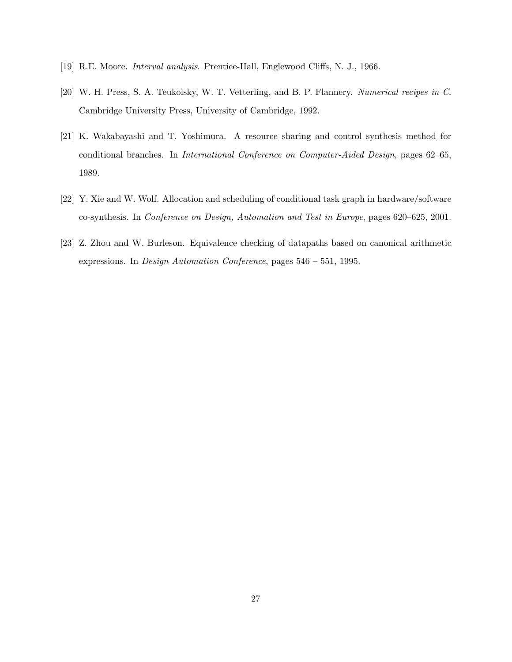- [19] R.E. Moore. Interval analysis. Prentice-Hall, Englewood Cliffs, N. J., 1966.
- [20] W. H. Press, S. A. Teukolsky, W. T. Vetterling, and B. P. Flannery. Numerical recipes in C. Cambridge University Press, University of Cambridge, 1992.
- [21] K. Wakabayashi and T. Yoshimura. A resource sharing and control synthesis method for conditional branches. In International Conference on Computer-Aided Design, pages 62–65, 1989.
- [22] Y. Xie and W. Wolf. Allocation and scheduling of conditional task graph in hardware/software co-synthesis. In Conference on Design, Automation and Test in Europe, pages 620–625, 2001.
- [23] Z. Zhou and W. Burleson. Equivalence checking of datapaths based on canonical arithmetic expressions. In Design Automation Conference, pages 546 – 551, 1995.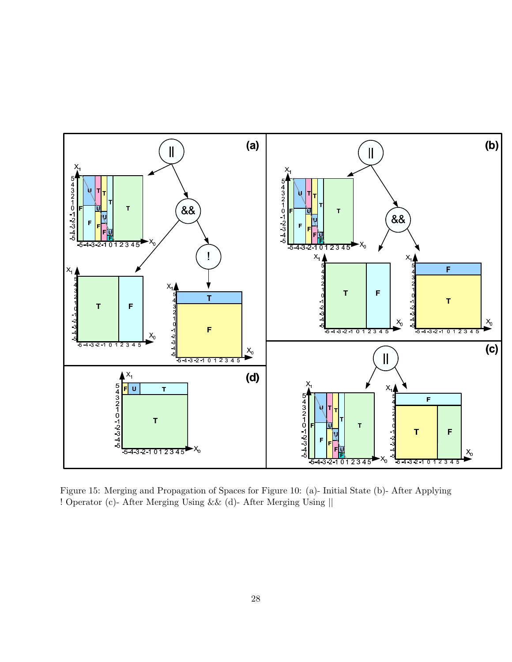

Figure 15: Merging and Propagation of Spaces for Figure 10: (a)- Initial State (b)- After Applying ! Operator (c)- After Merging Using && (d)- After Merging Using ||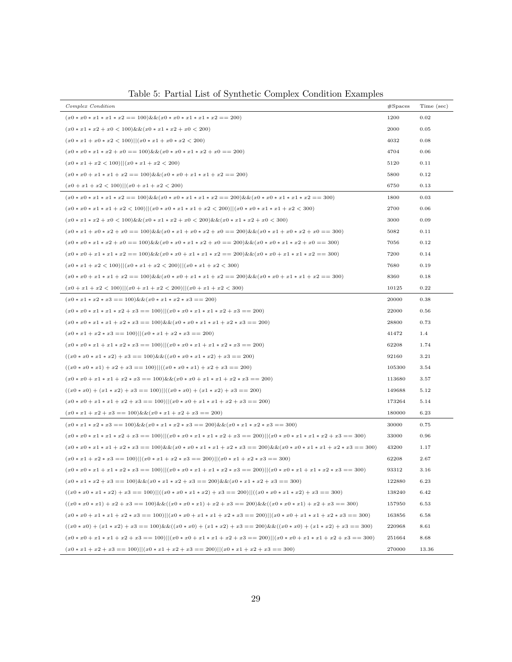| Complex Condition                                                                                | #Spaces | Time (sec) |
|--------------------------------------------------------------------------------------------------|---------|------------|
| $(x0 * x0 * x1 * x1 * x2 == 100) \&& (x0 * x0 * x1 * x1 * x2 == 200)$                            | 1200    | 0.02       |
| $(x0 * x1 * x2 + x0 < 100)$ && $(x0 * x1 * x2 + x0 < 200)$                                       | 2000    | 0.05       |
| $(x0 * x1 + x0 * x2 < 100)  (x0 * x1 + x0 * x2 < 200)$                                           | 4032    | 0.08       |
| $(x0 * x0 * x1 * x2 + x0 == 100) \&\& (x0 * x0 * x1 * x2 + x0 == 200)$                           | 4704    | 0.06       |
| $(x0 * x1 + x2 < 100)  (x0 * x1 + x2 < 200)$                                                     | 5120    | 0.11       |
| $(x0 * x0 + x1 * x1 + x2 == 100) \&& (x0 * x0 + x1 * x1 + x2 == 200)$                            | 5800    | 0.12       |
| $(x0 + x1 + x2 < 100)  (x0 + x1 + x2 < 200)$                                                     | 6750    | 0.13       |
| $(x0*x0*x1*x1*x2 == 100) \&\& (x0*x0*x1*x1*x2 == 200) \&\& (x0*x0*x1*x1*x2 == 300)$              | 1800    | 0.03       |
| $(x0 * x0 * x1 * x1 + x2 < 100)  (x0 * x0 * x1 * x1 + x2 < 200)  (x0 * x0 * x1 * x1 + x2 < 300)$ | 2700    | 0.06       |
| $(x0*x1*x2+x0 < 100)$ && $(x0*x1*x2+x0 < 200)$ && $(x0*x1*x2+x0 < 300)$                          | 3000    | 0.09       |
| $(x0*x1+x0*x2+x0 == 100) \&\&(x0*x1+x0*x2+x0 == 200) \&\&(x0*x1+x0*x2+x0 == 300)$                | 5082    | 0.11       |
| $(x0*x0*x1*x2+x0 == 100) \&\& (x0*x0*x1*x2+x0 == 200) \&\& (x0*x0*x1*x2+x0 == 300)$              | 7056    | 0.12       |
| $(x0*x0+x1*x1*x2 == 100) \&\& (x0*x0+x1*x1*x2 == 200) \&\& (x0*x0+x1*x1*x2 == 300)$              | 7200    | 0.14       |
| $(x0 * x1 + x2 < 100)  (x0 * x1 + x2 < 200)  (x0 * x1 + x2 < 300)$                               | 7680    | 0.19       |
| $(x0*x0+x1*x1+x2 == 100) \&\& (x0*x0+x1*x1+x2 == 200) \&\& (x0*x0+x1*x1+x2 == 300)$              | 8360    | 0.18       |
| $(x0+x1+x2 < 100)  (x0+x1+x2 < 200)  (x0+x1+x2 < 300)$                                           | 10125   | 0.22       |
| $(x0 * x1 * x2 * x3 == 100) \&\& (x0 * x1 * x2 * x3 == 200)$                                     | 20000   | 0.38       |
| $(x0 * x0 * x1 * x1 * x2 + x3 == 100)  (x0 * x0 * x1 * x1 * x2 + x3 == 200)$                     | 22000   | 0.56       |
| $(x0 * x0 * x1 * x1 + x2 * x3 == 100) \&& (x0 * x0 * x1 * x1 + x2 * x3 == 200)$                  | 28800   | 0.73       |
| $(x0 * x1 + x2 * x3 == 100)  (x0 * x1 + x2 * x3 == 200)$                                         | 41472   | 1.4        |
| $(x0 * x0 * x1 + x1 * x2 * x3 == 100)  (x0 * x0 * x1 + x1 * x2 * x3 == 200)$                     | 62208   | 1.74       |
| $((x0 * x0 * x1 * x2) + x3 == 100) \& (x0 * x0 * x1 * x2) + x3 == 200)$                          | 92160   | 3.21       |
| $((x0 * x0 * x1) + x2 + x3 == 100)  ((x0 * x0 * x1) + x2 + x3 == 200)$                           | 105300  | 3.54       |
| $(x0 * x0 + x1 * x1 + x2 * x3 == 100) \&& (x0 * x0 + x1 * x1 + x2 * x3 == 200)$                  | 113680  | 3.57       |
| $((x0 * x0) + (x1 * x2) + x3 == 100)  ((x0 * x0) + (x1 * x2) + x3 == 200)$                       | 149688  | 5.12       |
| $(x0 * x0 + x1 * x1 + x2 + x3 == 100)  (x0 * x0 + x1 * x1 + x2 + x3 == 200)$                     | 173264  | 5.14       |
| $(x0 * x1 + x2 + x3 == 100) \&\& (x0 * x1 + x2 + x3 == 200)$                                     | 180000  | 6.23       |
| $(x0*x1*x2*x3 == 100) \&\& (x0*x1*x2*x3 == 200) \&\& (x0*x1*x2*x3 == 300)$                       | 30000   | 0.75       |
| $(x0*x0*x1*x1*x2+x3 == 100)  (x0*x0*x1*x1*x2+x3 == 200)  (x0*x0*x1*x1*x2+x3 == 300)$             | 33000   | 0.96       |
| $(x0*x0*x1*x1+x2*x3 == 100) \&& (x0*x0*x1*x1+x2*x3 == 200) \&& (x0*x0*x1*x1+x2*x3 == 300)$       | 43200   | 1.17       |
| $(x0 * x1 + x2 * x3 == 100)  (x0 * x1 + x2 * x3 == 200)  (x0 * x1 + x2 * x3 == 300)$             | 62208   | 2.67       |
| $(x0*x0*x1+x1*x2*x3 == 100)  (x0*x0*x1+x1*x2*x3 == 200)  (x0*x0*x1+x1*x2*x3 == 300)$             | 93312   | 3.16       |
| $(x0*x1*x2+x3 == 100) \&\& (x0*x1*x2+x3 == 200) \&\& (x0*x1*x2+x3 == 300)$                       | 122880  | 6.23       |
| $((x0*x0*x1*x2)+x3 == 100)  ((x0*x0*x1*x2)+x3 == 200)  ((x0*x0*x1*x2)+x3 == 300)$                | 138240  | 6.42       |
| $((x0*x0*x1)+x2+x3 == 100) \&\&((x0*x0*x1)+x2+x3 == 200) \&\&((x0*x0*x1)+x2+x3 == 300)$          | 157950  | 6.53       |
| $(x0*x0+x1*x1+x2*x3 == 100)  (x0*x0+x1*x1+x2*x3 == 200)  (x0*x0+x1*x1+x2*x3 == 300)$             | 163856  | 6.58       |
| $((x0*x0)+(x1*x2)+x3 == 100) \&\&((x0*x0)+(x1*x2)+x3 == 200) \&\&((x0*x0)+(x1*x2)+x3 == 300)$    | 220968  | 8.61       |
| $(x0*x0+x1*x1+x2+x3 == 100)  (x0*x0+x1*x1+x2+x3 == 200)  (x0*x0+x1*x1+x2)$                       | 251664  | 8.68       |
| $(x0 * x1 + x2 + x3 == 100)  (x0 * x1 + x2 + x3 == 200)  (x0 * x1 + x2 + x3 == 300)$             | 270000  | 13.36      |

Table 5: Partial List of Synthetic Complex Condition Examples